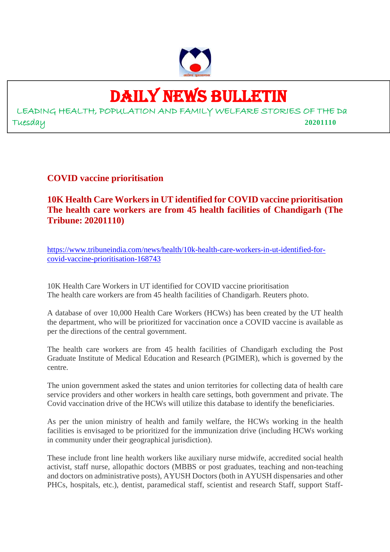

## DAILY NEWS BULLETIN

LEADING HEALTH, POPULATION AND FAMILY WELFARE STORIES OF THE Da Tuesday **20201110**

**COVID vaccine prioritisation**

**10K Health Care Workers in UT identified for COVID vaccine prioritisation The health care workers are from 45 health facilities of Chandigarh (The Tribune: 20201110)**

https://www.tribuneindia.com/news/health/10k-health-care-workers-in-ut-identified-forcovid-vaccine-prioritisation-168743

10K Health Care Workers in UT identified for COVID vaccine prioritisation The health care workers are from 45 health facilities of Chandigarh. Reuters photo.

A database of over 10,000 Health Care Workers (HCWs) has been created by the UT health the department, who will be prioritized for vaccination once a COVID vaccine is available as per the directions of the central government.

The health care workers are from 45 health facilities of Chandigarh excluding the Post Graduate Institute of Medical Education and Research (PGIMER), which is governed by the centre.

The union government asked the states and union territories for collecting data of health care service providers and other workers in health care settings, both government and private. The Covid vaccination drive of the HCWs will utilize this database to identify the beneficiaries.

As per the union ministry of health and family welfare, the HCWs working in the health facilities is envisaged to be prioritized for the immunization drive (including HCWs working in community under their geographical jurisdiction).

These include front line health workers like auxiliary nurse midwife, accredited social health activist, staff nurse, allopathic doctors (MBBS or post graduates, teaching and non-teaching and doctors on administrative posts), AYUSH Doctors (both in AYUSH dispensaries and other PHCs, hospitals, etc.), dentist, paramedical staff, scientist and research Staff, support Staff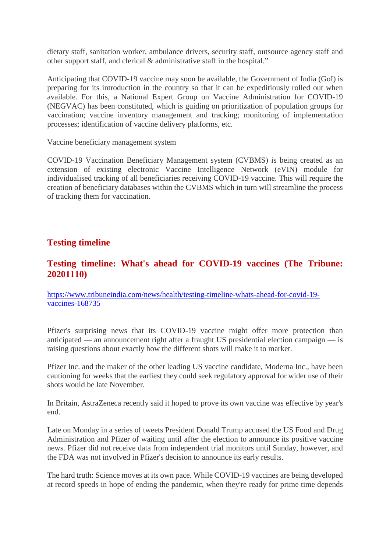dietary staff, sanitation worker, ambulance drivers, security staff, outsource agency staff and other support staff, and clerical & administrative staff in the hospital."

Anticipating that COVID-19 vaccine may soon be available, the Government of India (GoI) is preparing for its introduction in the country so that it can be expeditiously rolled out when available. For this, a National Expert Group on Vaccine Administration for COVID-19 (NEGVAC) has been constituted, which is guiding on prioritization of population groups for vaccination; vaccine inventory management and tracking; monitoring of implementation processes; identification of vaccine delivery platforms, etc.

Vaccine beneficiary management system

COVID-19 Vaccination Beneficiary Management system (CVBMS) is being created as an extension of existing electronic Vaccine Intelligence Network (eVIN) module for individualised tracking of all beneficiaries receiving COVID-19 vaccine. This will require the creation of beneficiary databases within the CVBMS which in turn will streamline the process of tracking them for vaccination.

#### **Testing timeline**

#### **Testing timeline: What's ahead for COVID-19 vaccines (The Tribune: 20201110)**

https://www.tribuneindia.com/news/health/testing-timeline-whats-ahead-for-covid-19 vaccines-168735

Pfizer's surprising news that its COVID-19 vaccine might offer more protection than anticipated — an announcement right after a fraught US presidential election campaign — is raising questions about exactly how the different shots will make it to market.

Pfizer Inc. and the maker of the other leading US vaccine candidate, Moderna Inc., have been cautioning for weeks that the earliest they could seek regulatory approval for wider use of their shots would be late November.

In Britain, AstraZeneca recently said it hoped to prove its own vaccine was effective by year's end.

Late on Monday in a series of tweets President Donald Trump accused the US Food and Drug Administration and Pfizer of waiting until after the election to announce its positive vaccine news. Pfizer did not receive data from independent trial monitors until Sunday, however, and the FDA was not involved in Pfizer's decision to announce its early results.

The hard truth: Science moves at its own pace. While COVID-19 vaccines are being developed at record speeds in hope of ending the pandemic, when they're ready for prime time depends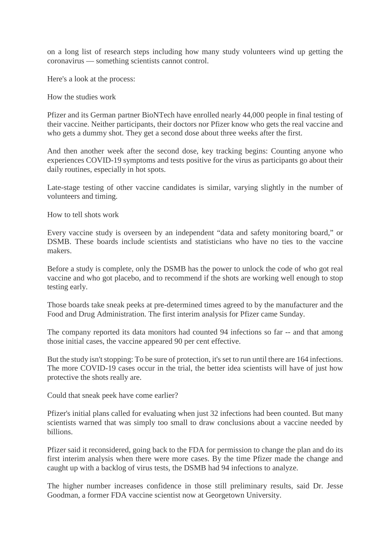on a long list of research steps including how many study volunteers wind up getting the coronavirus — something scientists cannot control.

Here's a look at the process:

How the studies work

Pfizer and its German partner BioNTech have enrolled nearly 44,000 people in final testing of their vaccine. Neither participants, their doctors nor Pfizer know who gets the real vaccine and who gets a dummy shot. They get a second dose about three weeks after the first.

And then another week after the second dose, key tracking begins: Counting anyone who experiences COVID-19 symptoms and tests positive for the virus as participants go about their daily routines, especially in hot spots.

Late-stage testing of other vaccine candidates is similar, varying slightly in the number of volunteers and timing.

How to tell shots work

Every vaccine study is overseen by an independent "data and safety monitoring board," or DSMB. These boards include scientists and statisticians who have no ties to the vaccine makers.

Before a study is complete, only the DSMB has the power to unlock the code of who got real vaccine and who got placebo, and to recommend if the shots are working well enough to stop testing early.

Those boards take sneak peeks at pre-determined times agreed to by the manufacturer and the Food and Drug Administration. The first interim analysis for Pfizer came Sunday.

The company reported its data monitors had counted 94 infections so far -- and that among those initial cases, the vaccine appeared 90 per cent effective.

But the study isn't stopping: To be sure of protection, it's set to run until there are 164 infections. The more COVID-19 cases occur in the trial, the better idea scientists will have of just how protective the shots really are.

Could that sneak peek have come earlier?

Pfizer's initial plans called for evaluating when just 32 infections had been counted. But many scientists warned that was simply too small to draw conclusions about a vaccine needed by billions.

Pfizer said it reconsidered, going back to the FDA for permission to change the plan and do its first interim analysis when there were more cases. By the time Pfizer made the change and caught up with a backlog of virus tests, the DSMB had 94 infections to analyze.

The higher number increases confidence in those still preliminary results, said Dr. Jesse Goodman, a former FDA vaccine scientist now at Georgetown University.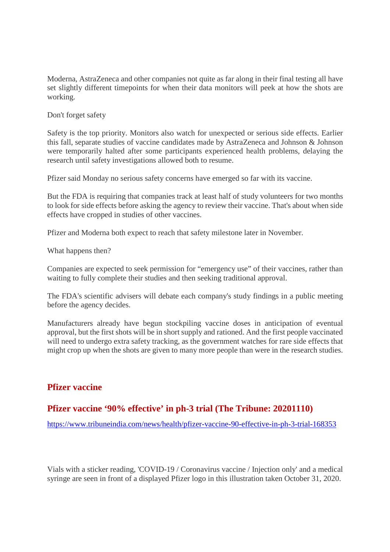Moderna, AstraZeneca and other companies not quite as far along in their final testing all have set slightly different timepoints for when their data monitors will peek at how the shots are working.

Don't forget safety

Safety is the top priority. Monitors also watch for unexpected or serious side effects. Earlier this fall, separate studies of vaccine candidates made by AstraZeneca and Johnson & Johnson were temporarily halted after some participants experienced health problems, delaying the research until safety investigations allowed both to resume.

Pfizer said Monday no serious safety concerns have emerged so far with its vaccine.

But the FDA is requiring that companies track at least half of study volunteers for two months to look for side effects before asking the agency to review their vaccine. That's about when side effects have cropped in studies of other vaccines.

Pfizer and Moderna both expect to reach that safety milestone later in November.

What happens then?

Companies are expected to seek permission for "emergency use" of their vaccines, rather than waiting to fully complete their studies and then seeking traditional approval.

The FDA's scientific advisers will debate each company's study findings in a public meeting before the agency decides.

Manufacturers already have begun stockpiling vaccine doses in anticipation of eventual approval, but the first shots will be in short supply and rationed. And the first people vaccinated will need to undergo extra safety tracking, as the government watches for rare side effects that might crop up when the shots are given to many more people than were in the research studies.

#### **Pfizer vaccine**

#### **Pfizer vaccine '90% effective' in ph-3 trial (The Tribune: 20201110)**

https://www.tribuneindia.com/news/health/pfizer-vaccine-90-effective-in-ph-3-trial-168353

Vials with a sticker reading, 'COVID-19 / Coronavirus vaccine / Injection only' and a medical syringe are seen in front of a displayed Pfizer logo in this illustration taken October 31, 2020.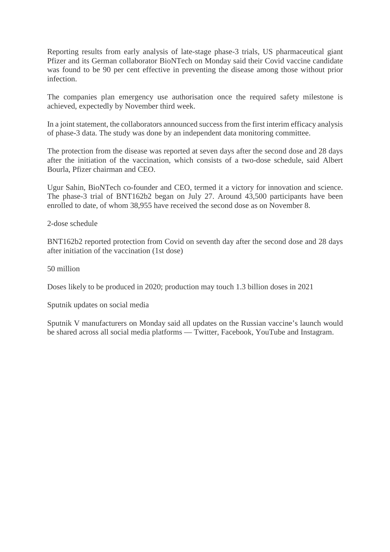Reporting results from early analysis of late-stage phase-3 trials, US pharmaceutical giant Pfizer and its German collaborator BioNTech on Monday said their Covid vaccine candidate was found to be 90 per cent effective in preventing the disease among those without prior infection.

The companies plan emergency use authorisation once the required safety milestone is achieved, expectedly by November third week.

In a joint statement, the collaborators announced success from the first interim efficacy analysis of phase-3 data. The study was done by an independent data monitoring committee.

The protection from the disease was reported at seven days after the second dose and 28 days after the initiation of the vaccination, which consists of a two-dose schedule, said Albert Bourla, Pfizer chairman and CEO.

Ugur Sahin, BioNTech co-founder and CEO, termed it a victory for innovation and science. The phase-3 trial of BNT162b2 began on July 27. Around 43,500 participants have been enrolled to date, of whom 38,955 have received the second dose as on November 8.

2-dose schedule

BNT162b2 reported protection from Covid on seventh day after the second dose and 28 days after initiation of the vaccination (1st dose)

50 million

Doses likely to be produced in 2020; production may touch 1.3 billion doses in 2021

Sputnik updates on social media

Sputnik V manufacturers on Monday said all updates on the Russian vaccine's launch would be shared across all social media platforms — Twitter, Facebook, YouTube and Instagram.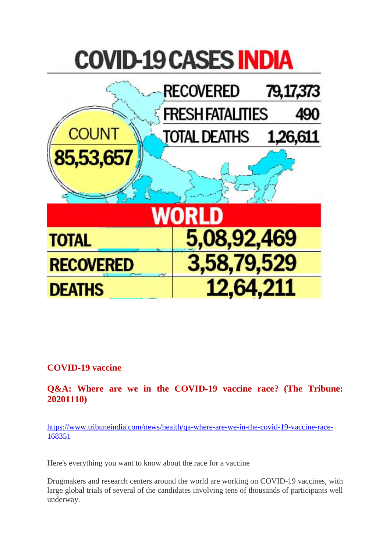

#### **COVID-19 vaccine**

**Q&A: Where are we in the COVID-19 vaccine race? (The Tribune: 20201110)**

https://www.tribuneindia.com/news/health/qa-where-are-we-in-the-covid-19-vaccine-race-168351

Here's everything you want to know about the race for a vaccine

Drugmakers and research centers around the world are working on COVID-19 vaccines, with large global trials of several of the candidates involving tens of thousands of participants well underway.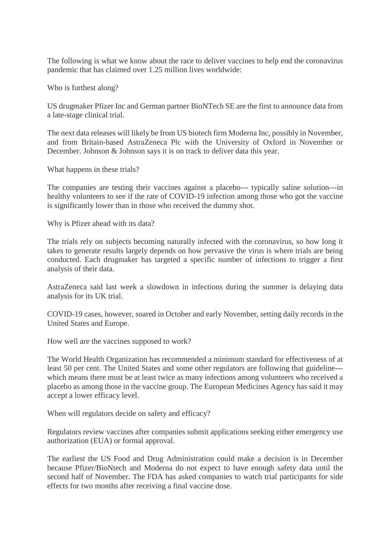The following is what we know about the race to deliver vaccines to help end the coronavirus pandemic that has claimed over 1.25 million lives worldwide:

Who is furthest along?

US drugmaker Pfizer Inc and German partner BioNTech SE are the first to announce data from a late-stage clinical trial.

The next data releases will likely be from US biotech firm Moderna Inc, possibly in November, and from Britain-based AstraZeneca Plc with the University of Oxford in November or December. Johnson & Johnson says it is on track to deliver data this year.

What happens in these trials?

The companies are testing their vaccines against a placebo--- typically saline solution---in healthy volunteers to see if the rate of COVID-19 infection among those who got the vaccine is significantly lower than in those who received the dummy shot.

Why is Pfizer ahead with its data?

The trials rely on subjects becoming naturally infected with the coronavirus, so how long it takes to generate results largely depends on how pervasive the virus is where trials are being conducted. Each drugmaker has targeted a specific number of infections to trigger a first analysis of their data.

AstraZeneca said last week a slowdown in infections during the summer is delaying data analysis for its UK trial.

COVID-19 cases, however, soared in October and early November, setting daily records in the United States and Europe.

How well are the vaccines supposed to work?

The World Health Organization has recommended a minimum standard for effectiveness of at least 50 per cent. The United States and some other regulators are following that guideline-- which means there must be at least twice as many infections among volunteers who received a placebo as among those in the vaccine group. The European Medicines Agency has said it may accept a lower efficacy level.

When will regulators decide on safety and efficacy?

Regulators review vaccines after companies submit applications seeking either emergency use authorization (EUA) or formal approval.

The earliest the US Food and Drug Administration could make a decision is in December because Pfizer/BioNtech and Moderna do not expect to have enough safety data until the second half of November. The FDA has asked companies to watch trial participants for side effects for two months after receiving a final vaccine dose.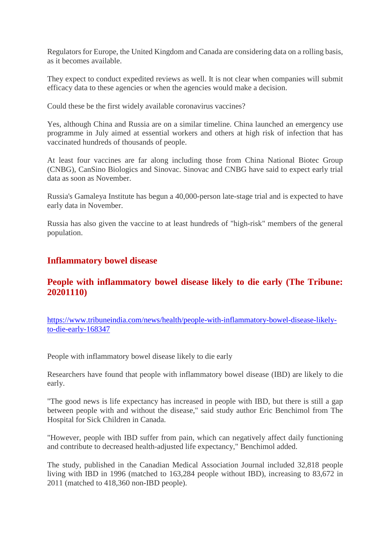Regulators for Europe, the United Kingdom and Canada are considering data on a rolling basis, as it becomes available.

They expect to conduct expedited reviews as well. It is not clear when companies will submit efficacy data to these agencies or when the agencies would make a decision.

Could these be the first widely available coronavirus vaccines?

Yes, although China and Russia are on a similar timeline. China launched an emergency use programme in July aimed at essential workers and others at high risk of infection that has vaccinated hundreds of thousands of people.

At least four vaccines are far along including those from China National Biotec Group (CNBG), CanSino Biologics and Sinovac. Sinovac and CNBG have said to expect early trial data as soon as November.

Russia's Gamaleya Institute has begun a 40,000-person late-stage trial and is expected to have early data in November.

Russia has also given the vaccine to at least hundreds of "high-risk" members of the general population.

#### **Inflammatory bowel disease**

#### **People with inflammatory bowel disease likely to die early (The Tribune: 20201110)**

https://www.tribuneindia.com/news/health/people-with-inflammatory-bowel-disease-likelyto-die-early-168347

People with inflammatory bowel disease likely to die early

Researchers have found that people with inflammatory bowel disease (IBD) are likely to die early.

"The good news is life expectancy has increased in people with IBD, but there is still a gap between people with and without the disease," said study author Eric Benchimol from The Hospital for Sick Children in Canada.

"However, people with IBD suffer from pain, which can negatively affect daily functioning and contribute to decreased health-adjusted life expectancy," Benchimol added.

The study, published in the Canadian Medical Association Journal included 32,818 people living with IBD in 1996 (matched to 163,284 people without IBD), increasing to 83,672 in 2011 (matched to 418,360 non-IBD people).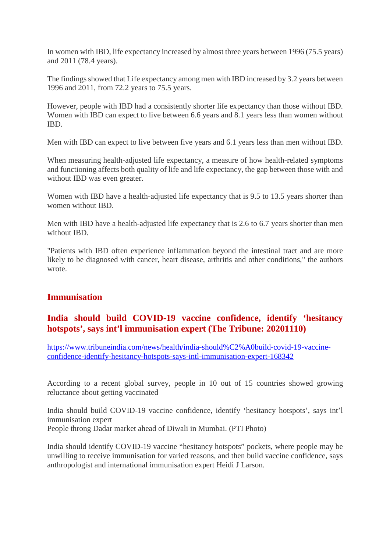In women with IBD, life expectancy increased by almost three years between 1996 (75.5 years) and 2011 (78.4 years).

The findings showed that Life expectancy among men with IBD increased by 3.2 years between 1996 and 2011, from 72.2 years to 75.5 years.

However, people with IBD had a consistently shorter life expectancy than those without IBD. Women with IBD can expect to live between 6.6 years and 8.1 years less than women without IBD.

Men with IBD can expect to live between five years and 6.1 years less than men without IBD.

When measuring health-adjusted life expectancy, a measure of how health-related symptoms and functioning affects both quality of life and life expectancy, the gap between those with and without IBD was even greater.

Women with IBD have a health-adjusted life expectancy that is 9.5 to 13.5 years shorter than women without IBD.

Men with IBD have a health-adjusted life expectancy that is 2.6 to 6.7 years shorter than men without IBD.

"Patients with IBD often experience inflammation beyond the intestinal tract and are more likely to be diagnosed with cancer, heart disease, arthritis and other conditions," the authors wrote.

#### **Immunisation**

#### **India should build COVID-19 vaccine confidence, identify 'hesitancy hotspots', says int'l immunisation expert (The Tribune: 20201110)**

https://www.tribuneindia.com/news/health/india-should%C2%A0build-covid-19-vaccineconfidence-identify-hesitancy-hotspots-says-intl-immunisation-expert-168342

According to a recent global survey, people in 10 out of 15 countries showed growing reluctance about getting vaccinated

India should build COVID-19 vaccine confidence, identify 'hesitancy hotspots', says int'l immunisation expert People throng Dadar market ahead of Diwali in Mumbai. (PTI Photo)

India should identify COVID-19 vaccine "hesitancy hotspots" pockets, where people may be unwilling to receive immunisation for varied reasons, and then build vaccine confidence, says anthropologist and international immunisation expert Heidi J Larson.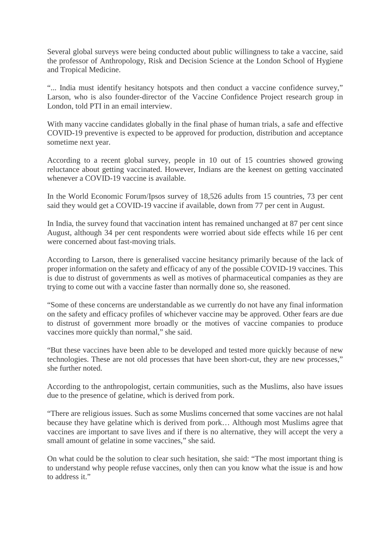Several global surveys were being conducted about public willingness to take a vaccine, said the professor of Anthropology, Risk and Decision Science at the London School of Hygiene and Tropical Medicine.

"... India must identify hesitancy hotspots and then conduct a vaccine confidence survey," Larson, who is also founder-director of the Vaccine Confidence Project research group in London, told PTI in an email interview.

With many vaccine candidates globally in the final phase of human trials, a safe and effective COVID-19 preventive is expected to be approved for production, distribution and acceptance sometime next year.

According to a recent global survey, people in 10 out of 15 countries showed growing reluctance about getting vaccinated. However, Indians are the keenest on getting vaccinated whenever a COVID-19 vaccine is available.

In the World Economic Forum/Ipsos survey of 18,526 adults from 15 countries, 73 per cent said they would get a COVID-19 vaccine if available, down from 77 per cent in August.

In India, the survey found that vaccination intent has remained unchanged at 87 per cent since August, although 34 per cent respondents were worried about side effects while 16 per cent were concerned about fast-moving trials.

According to Larson, there is generalised vaccine hesitancy primarily because of the lack of proper information on the safety and efficacy of any of the possible COVID-19 vaccines. This is due to distrust of governments as well as motives of pharmaceutical companies as they are trying to come out with a vaccine faster than normally done so, she reasoned.

"Some of these concerns are understandable as we currently do not have any final information on the safety and efficacy profiles of whichever vaccine may be approved. Other fears are due to distrust of government more broadly or the motives of vaccine companies to produce vaccines more quickly than normal," she said.

"But these vaccines have been able to be developed and tested more quickly because of new technologies. These are not old processes that have been short-cut, they are new processes," she further noted.

According to the anthropologist, certain communities, such as the Muslims, also have issues due to the presence of gelatine, which is derived from pork.

"There are religious issues. Such as some Muslims concerned that some vaccines are not halal because they have gelatine which is derived from pork… Although most Muslims agree that vaccines are important to save lives and if there is no alternative, they will accept the very a small amount of gelatine in some vaccines," she said.

On what could be the solution to clear such hesitation, she said: "The most important thing is to understand why people refuse vaccines, only then can you know what the issue is and how to address it."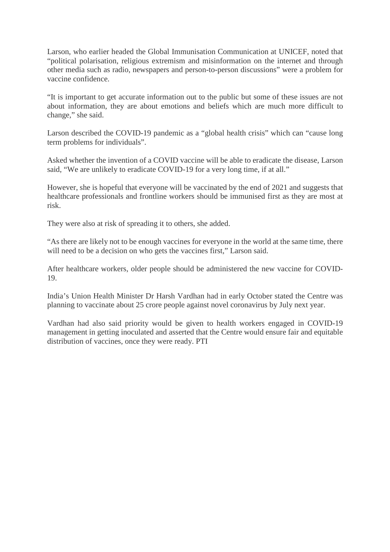Larson, who earlier headed the Global Immunisation Communication at UNICEF, noted that "political polarisation, religious extremism and misinformation on the internet and through other media such as radio, newspapers and person-to-person discussions" were a problem for vaccine confidence.

"It is important to get accurate information out to the public but some of these issues are not about information, they are about emotions and beliefs which are much more difficult to change," she said.

Larson described the COVID-19 pandemic as a "global health crisis" which can "cause long term problems for individuals".

Asked whether the invention of a COVID vaccine will be able to eradicate the disease, Larson said, "We are unlikely to eradicate COVID-19 for a very long time, if at all."

However, she is hopeful that everyone will be vaccinated by the end of 2021 and suggests that healthcare professionals and frontline workers should be immunised first as they are most at risk.

They were also at risk of spreading it to others, she added.

"As there are likely not to be enough vaccines for everyone in the world at the same time, there will need to be a decision on who gets the vaccines first," Larson said.

After healthcare workers, older people should be administered the new vaccine for COVID-19.

India's Union Health Minister Dr Harsh Vardhan had in early October stated the Centre was planning to vaccinate about 25 crore people against novel coronavirus by July next year.

Vardhan had also said priority would be given to health workers engaged in COVID-19 management in getting inoculated and asserted that the Centre would ensure fair and equitable distribution of vaccines, once they were ready. PTI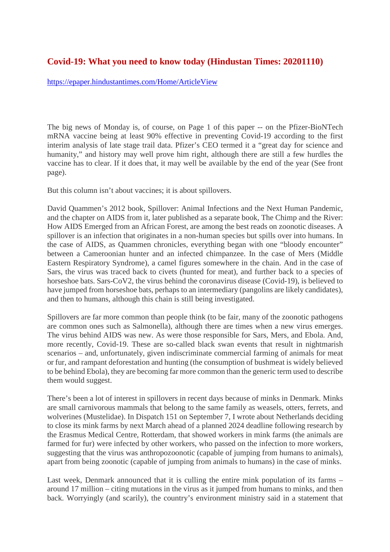#### **Covid-19: What you need to know today (Hindustan Times: 20201110)**

https://epaper.hindustantimes.com/Home/ArticleView

The big news of Monday is, of course, on Page 1 of this paper -- on the Pfizer-BioNTech mRNA vaccine being at least 90% effective in preventing Covid-19 according to the first interim analysis of late stage trail data. Pfizer's CEO termed it a "great day for science and humanity," and history may well prove him right, although there are still a few hurdles the vaccine has to clear. If it does that, it may well be available by the end of the year (See front page).

But this column isn't about vaccines; it is about spillovers.

David Quammen's 2012 book, Spillover: Animal Infections and the Next Human Pandemic, and the chapter on AIDS from it, later published as a separate book, The Chimp and the River: How AIDS Emerged from an African Forest, are among the best reads on zoonotic diseases. A spillover is an infection that originates in a non-human species but spills over into humans. In the case of AIDS, as Quammen chronicles, everything began with one "bloody encounter" between a Cameroonian hunter and an infected chimpanzee. In the case of Mers (Middle Eastern Respiratory Syndrome), a camel figures somewhere in the chain. And in the case of Sars, the virus was traced back to civets (hunted for meat), and further back to a species of horseshoe bats. Sars-CoV2, the virus behind the coronavirus disease (Covid-19), is believed to have jumped from horseshoe bats, perhaps to an intermediary (pangolins are likely candidates), and then to humans, although this chain is still being investigated.

Spillovers are far more common than people think (to be fair, many of the zoonotic pathogens are common ones such as Salmonella), although there are times when a new virus emerges. The virus behind AIDS was new. As were those responsible for Sars, Mers, and Ebola. And, more recently, Covid-19. These are so-called black swan events that result in nightmarish scenarios – and, unfortunately, given indiscriminate commercial farming of animals for meat or fur, and rampant deforestation and hunting (the consumption of bushmeat is widely believed to be behind Ebola), they are becoming far more common than the generic term used to describe them would suggest.

There's been a lot of interest in spillovers in recent days because of minks in Denmark. Minks are small carnivorous mammals that belong to the same family as weasels, otters, ferrets, and wolverines (Mustelidae). In Dispatch 151 on September 7, I wrote about Netherlands deciding to close its mink farms by next March ahead of a planned 2024 deadline following research by the Erasmus Medical Centre, Rotterdam, that showed workers in mink farms (the animals are farmed for fur) were infected by other workers, who passed on the infection to more workers, suggesting that the virus was anthropozoonotic (capable of jumping from humans to animals), apart from being zoonotic (capable of jumping from animals to humans) in the case of minks.

Last week, Denmark announced that it is culling the entire mink population of its farms – around 17 million – citing mutations in the virus as it jumped from humans to minks, and then back. Worryingly (and scarily), the country's environment ministry said in a statement that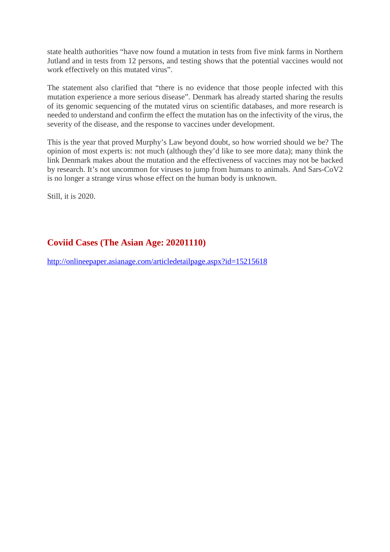state health authorities "have now found a mutation in tests from five mink farms in Northern Jutland and in tests from 12 persons, and testing shows that the potential vaccines would not work effectively on this mutated virus".

The statement also clarified that "there is no evidence that those people infected with this mutation experience a more serious disease". Denmark has already started sharing the results of its genomic sequencing of the mutated virus on scientific databases, and more research is needed to understand and confirm the effect the mutation has on the infectivity of the virus, the severity of the disease, and the response to vaccines under development.

This is the year that proved Murphy's Law beyond doubt, so how worried should we be? The opinion of most experts is: not much (although they'd like to see more data); many think the link Denmark makes about the mutation and the effectiveness of vaccines may not be backed by research. It's not uncommon for viruses to jump from humans to animals. And Sars-CoV2 is no longer a strange virus whose effect on the human body is unknown.

Still, it is 2020.

#### **Coviid Cases (The Asian Age: 20201110)**

http://onlineepaper.asianage.com/articledetailpage.aspx?id=15215618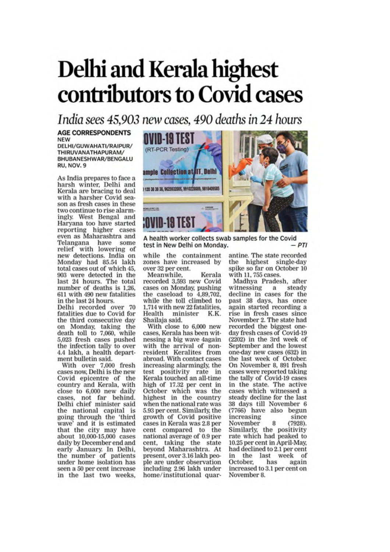# Delhi and Kerala highest contributors to Covid cases

India sees 45,903 new cases, 490 deaths in 24 hours

#### **AGE CORRESPONDENTS NEW**

DELHI/GUWAHATI/RAIPUR/ THIRUVANATHAPURAM/ BHUBANESHWAR/BENGALU RU, NOV. 9

As India prepares to face a harsh winter, Delhi and Kerala are bracing to deal with a harsher Covid season as fresh cases in these two continue to rise alarmingly. West Bengal and<br>Haryana too have started reporting higher cases even as Maharashtra and Telangana have some<br>relief with lowering of new detections. India on Monday had 85.54 lakh total cases out of which 45. 903 were detected in the last 24 hours. The total number of deaths is 1,26, 611 with 490 new fatalities in the last 24 hours.

Delhi recorded over 70 fatalities due to Covid for the third consecutive day on Monday, taking the<br>death toll to 7,060, while 5,023 fresh cases pushed the infection tally to over<br>4.4 lakh, a health department bulletin said.

With over 7,000 fresh cases now. Delhi is the new Covid epicentre of the country and Kerala, with close to 6,000 new daily cases, not far behind.<br>Delhi chief minister said the national capital is going through the 'third<br>wave' and it is estimated that the city may have about 10,000-15,000 cases daily by December end and early January. In Delhi, the number of patients under home isolation has seen a 50 per cent increase in the last two weeks,



A health worker collects swab samples for the Covid test in New Delhi on Monday.  $-DTI$ 

while the containment zones have increased by over 32 per cent.

Meanwhile. Kerala recorded 3,593 new Covid cases on Monday, pushing the caseload to 4,89,702,<br>while the toll climbed to 1.714 with new 22 fatalities. Health minister K.K. Shailaia said.

With close to 6,000 new cases, Kerala has been witnessing a big wave 4again with the arrival of non-<br>resident Keralites from abroad. With contact cases increasing alarmingly, the test positivity rate in<br>Kerala touched an all-time high of 17.32 per cent in October which was the highest in the country when the national rate was 5.93 per cent. Similarly, the growth of Covid positive cases in Kerala was 2.8 per cent compared to the national average of 0.9 per cent, taking the state beyond Maharashtra. At present, over 3.16 lakh people are under observation including 2.96 lakh under home/institutional quarantine. The state recorded the highest single-day spike so far on October 10 with 11, 755 cases.

Madhya Pradesh, after witnessing a steady decline in cases for the past 38 days, has once again started recording a rise in fresh cases since November 2. The state had recorded the biggest oneday fresh cases of Covid-19 (2202) in the 3rd week of September and the lowest one-day new cases (632) in the last week of October. On November 8, 891 fresh cases were reported taking the tally of Covid-19 cases in the state. The active cases which witnessed a steady decline for the last 38 days till November 6 (7766) have also begun increasing since  $(7928).$ November 8 Similarly, the positivity<br>rate which had peaked to 10.25 per cent in April-May. had declined to 2.1 per cent in the last week of has again October. increased to 3.1 per cent on November 8.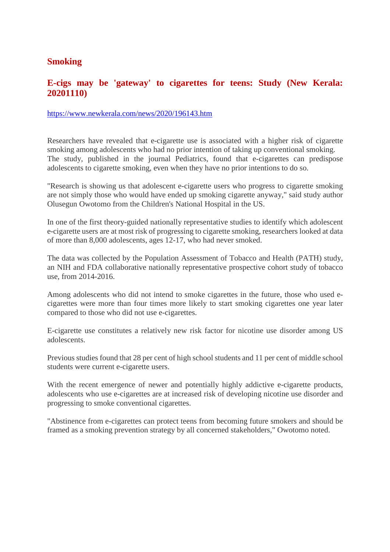#### **Smoking**

#### **E-cigs may be 'gateway' to cigarettes for teens: Study (New Kerala: 20201110)**

#### https://www.newkerala.com/news/2020/196143.htm

Researchers have revealed that e-cigarette use is associated with a higher risk of cigarette smoking among adolescents who had no prior intention of taking up conventional smoking. The study, published in the journal Pediatrics, found that e-cigarettes can predispose adolescents to cigarette smoking, even when they have no prior intentions to do so.

"Research is showing us that adolescent e-cigarette users who progress to cigarette smoking are not simply those who would have ended up smoking cigarette anyway," said study author Olusegun Owotomo from the Children's National Hospital in the US.

In one of the first theory-guided nationally representative studies to identify which adolescent e-cigarette users are at most risk of progressing to cigarette smoking, researchers looked at data of more than 8,000 adolescents, ages 12-17, who had never smoked.

The data was collected by the Population Assessment of Tobacco and Health (PATH) study, an NIH and FDA collaborative nationally representative prospective cohort study of tobacco use, from 2014-2016.

Among adolescents who did not intend to smoke cigarettes in the future, those who used ecigarettes were more than four times more likely to start smoking cigarettes one year later compared to those who did not use e-cigarettes.

E-cigarette use constitutes a relatively new risk factor for nicotine use disorder among US adolescents.

Previous studies found that 28 per cent of high school students and 11 per cent of middle school students were current e-cigarette users.

With the recent emergence of newer and potentially highly addictive e-cigarette products, adolescents who use e-cigarettes are at increased risk of developing nicotine use disorder and progressing to smoke conventional cigarettes.

"Abstinence from e-cigarettes can protect teens from becoming future smokers and should be framed as a smoking prevention strategy by all concerned stakeholders," Owotomo noted.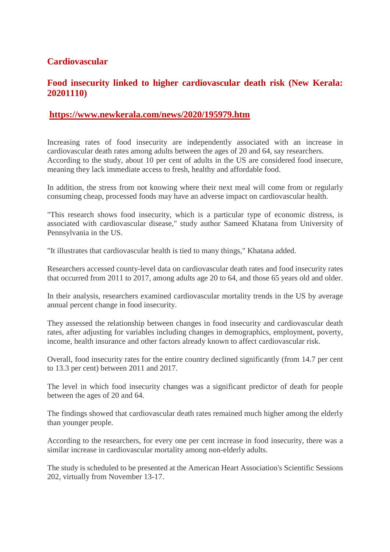#### **Cardiovascular**

#### **Food insecurity linked to higher cardiovascular death risk (New Kerala: 20201110)**

#### **https://www.newkerala.com/news/2020/195979.htm**

Increasing rates of food insecurity are independently associated with an increase in cardiovascular death rates among adults between the ages of 20 and 64, say researchers. According to the study, about 10 per cent of adults in the US are considered food insecure, meaning they lack immediate access to fresh, healthy and affordable food.

In addition, the stress from not knowing where their next meal will come from or regularly consuming cheap, processed foods may have an adverse impact on cardiovascular health.

"This research shows food insecurity, which is a particular type of economic distress, is associated with cardiovascular disease," study author Sameed Khatana from University of Pennsylvania in the US.

"It illustrates that cardiovascular health is tied to many things," Khatana added.

Researchers accessed county-level data on cardiovascular death rates and food insecurity rates that occurred from 2011 to 2017, among adults age 20 to 64, and those 65 years old and older.

In their analysis, researchers examined cardiovascular mortality trends in the US by average annual percent change in food insecurity.

They assessed the relationship between changes in food insecurity and cardiovascular death rates, after adjusting for variables including changes in demographics, employment, poverty, income, health insurance and other factors already known to affect cardiovascular risk.

Overall, food insecurity rates for the entire country declined significantly (from 14.7 per cent to 13.3 per cent) between 2011 and 2017.

The level in which food insecurity changes was a significant predictor of death for people between the ages of 20 and 64.

The findings showed that cardiovascular death rates remained much higher among the elderly than younger people.

According to the researchers, for every one per cent increase in food insecurity, there was a similar increase in cardiovascular mortality among non-elderly adults.

The study is scheduled to be presented at the American Heart Association's Scientific Sessions 202, virtually from November 13-17.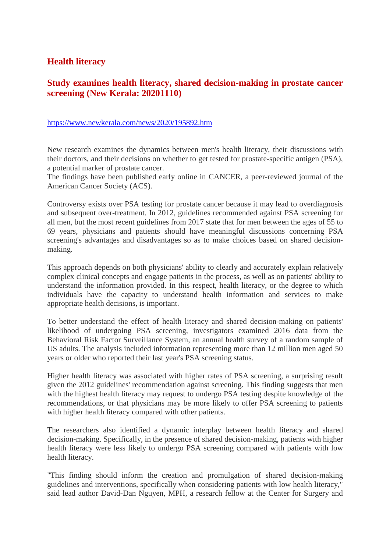#### **Health literacy**

#### **Study examines health literacy, shared decision-making in prostate cancer screening (New Kerala: 20201110)**

#### https://www.newkerala.com/news/2020/195892.htm

New research examines the dynamics between men's health literacy, their discussions with their doctors, and their decisions on whether to get tested for prostate-specific antigen (PSA), a potential marker of prostate cancer.

The findings have been published early online in CANCER, a peer-reviewed journal of the American Cancer Society (ACS).

Controversy exists over PSA testing for prostate cancer because it may lead to overdiagnosis and subsequent over-treatment. In 2012, guidelines recommended against PSA screening for all men, but the most recent guidelines from 2017 state that for men between the ages of 55 to 69 years, physicians and patients should have meaningful discussions concerning PSA screening's advantages and disadvantages so as to make choices based on shared decisionmaking.

This approach depends on both physicians' ability to clearly and accurately explain relatively complex clinical concepts and engage patients in the process, as well as on patients' ability to understand the information provided. In this respect, health literacy, or the degree to which individuals have the capacity to understand health information and services to make appropriate health decisions, is important.

To better understand the effect of health literacy and shared decision-making on patients' likelihood of undergoing PSA screening, investigators examined 2016 data from the Behavioral Risk Factor Surveillance System, an annual health survey of a random sample of US adults. The analysis included information representing more than 12 million men aged 50 years or older who reported their last year's PSA screening status.

Higher health literacy was associated with higher rates of PSA screening, a surprising result given the 2012 guidelines' recommendation against screening. This finding suggests that men with the highest health literacy may request to undergo PSA testing despite knowledge of the recommendations, or that physicians may be more likely to offer PSA screening to patients with higher health literacy compared with other patients.

The researchers also identified a dynamic interplay between health literacy and shared decision-making. Specifically, in the presence of shared decision-making, patients with higher health literacy were less likely to undergo PSA screening compared with patients with low health literacy.

"This finding should inform the creation and promulgation of shared decision-making guidelines and interventions, specifically when considering patients with low health literacy," said lead author David-Dan Nguyen, MPH, a research fellow at the Center for Surgery and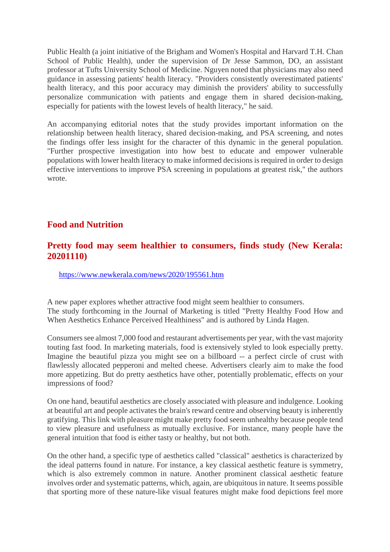Public Health (a joint initiative of the Brigham and Women's Hospital and Harvard T.H. Chan School of Public Health), under the supervision of Dr Jesse Sammon, DO, an assistant professor at Tufts University School of Medicine. Nguyen noted that physicians may also need guidance in assessing patients' health literacy. "Providers consistently overestimated patients' health literacy, and this poor accuracy may diminish the providers' ability to successfully personalize communication with patients and engage them in shared decision-making, especially for patients with the lowest levels of health literacy," he said.

An accompanying editorial notes that the study provides important information on the relationship between health literacy, shared decision-making, and PSA screening, and notes the findings offer less insight for the character of this dynamic in the general population. "Further prospective investigation into how best to educate and empower vulnerable populations with lower health literacy to make informed decisions is required in order to design effective interventions to improve PSA screening in populations at greatest risk," the authors wrote.

#### **Food and Nutrition**

#### **Pretty food may seem healthier to consumers, finds study (New Kerala: 20201110)**

https://www.newkerala.com/news/2020/195561.htm

A new paper explores whether attractive food might seem healthier to consumers. The study forthcoming in the Journal of Marketing is titled "Pretty Healthy Food How and When Aesthetics Enhance Perceived Healthiness" and is authored by Linda Hagen.

Consumers see almost 7,000 food and restaurant advertisements per year, with the vast majority touting fast food. In marketing materials, food is extensively styled to look especially pretty. Imagine the beautiful pizza you might see on a billboard -- a perfect circle of crust with flawlessly allocated pepperoni and melted cheese. Advertisers clearly aim to make the food more appetizing. But do pretty aesthetics have other, potentially problematic, effects on your impressions of food?

On one hand, beautiful aesthetics are closely associated with pleasure and indulgence. Looking at beautiful art and people activates the brain's reward centre and observing beauty is inherently gratifying. This link with pleasure might make pretty food seem unhealthy because people tend to view pleasure and usefulness as mutually exclusive. For instance, many people have the general intuition that food is either tasty or healthy, but not both.

On the other hand, a specific type of aesthetics called "classical" aesthetics is characterized by the ideal patterns found in nature. For instance, a key classical aesthetic feature is symmetry, which is also extremely common in nature. Another prominent classical aesthetic feature involves order and systematic patterns, which, again, are ubiquitous in nature. It seems possible that sporting more of these nature-like visual features might make food depictions feel more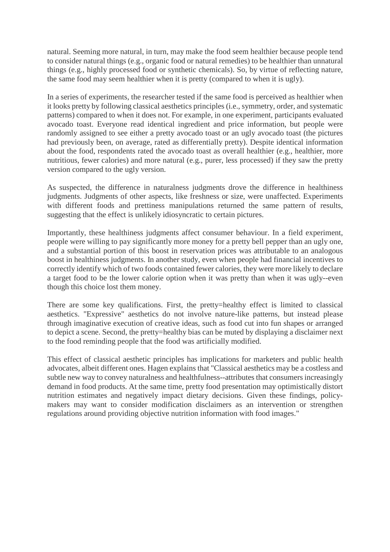natural. Seeming more natural, in turn, may make the food seem healthier because people tend to consider natural things (e.g., organic food or natural remedies) to be healthier than unnatural things (e.g., highly processed food or synthetic chemicals). So, by virtue of reflecting nature, the same food may seem healthier when it is pretty (compared to when it is ugly).

In a series of experiments, the researcher tested if the same food is perceived as healthier when it looks pretty by following classical aesthetics principles (i.e., symmetry, order, and systematic patterns) compared to when it does not. For example, in one experiment, participants evaluated avocado toast. Everyone read identical ingredient and price information, but people were randomly assigned to see either a pretty avocado toast or an ugly avocado toast (the pictures had previously been, on average, rated as differentially pretty). Despite identical information about the food, respondents rated the avocado toast as overall healthier (e.g., healthier, more nutritious, fewer calories) and more natural (e.g., purer, less processed) if they saw the pretty version compared to the ugly version.

As suspected, the difference in naturalness judgments drove the difference in healthiness judgments. Judgments of other aspects, like freshness or size, were unaffected. Experiments with different foods and prettiness manipulations returned the same pattern of results, suggesting that the effect is unlikely idiosyncratic to certain pictures.

Importantly, these healthiness judgments affect consumer behaviour. In a field experiment, people were willing to pay significantly more money for a pretty bell pepper than an ugly one, and a substantial portion of this boost in reservation prices was attributable to an analogous boost in healthiness judgments. In another study, even when people had financial incentives to correctly identify which of two foods contained fewer calories, they were more likely to declare a target food to be the lower calorie option when it was pretty than when it was ugly--even though this choice lost them money.

There are some key qualifications. First, the pretty=healthy effect is limited to classical aesthetics. "Expressive" aesthetics do not involve nature-like patterns, but instead please through imaginative execution of creative ideas, such as food cut into fun shapes or arranged to depict a scene. Second, the pretty=healthy bias can be muted by displaying a disclaimer next to the food reminding people that the food was artificially modified.

This effect of classical aesthetic principles has implications for marketers and public health advocates, albeit different ones. Hagen explains that "Classical aesthetics may be a costless and subtle new way to convey naturalness and healthfulness--attributes that consumers increasingly demand in food products. At the same time, pretty food presentation may optimistically distort nutrition estimates and negatively impact dietary decisions. Given these findings, policymakers may want to consider modification disclaimers as an intervention or strengthen regulations around providing objective nutrition information with food images."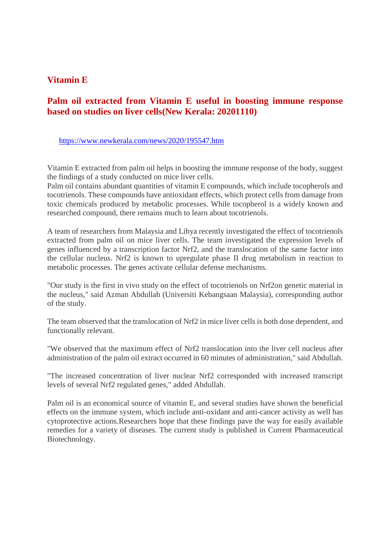#### **Vitamin E**

#### **Palm oil extracted from Vitamin E useful in boosting immune response based on studies on liver cells(New Kerala: 20201110)**

https://www.newkerala.com/news/2020/195547.htm

Vitamin E extracted from palm oil helps in boosting the immune response of the body, suggest the findings of a study conducted on mice liver cells.

Palm oil contains abundant quantities of vitamin E compounds, which include tocopherols and tocotrienols. These compounds have antioxidant effects, which protect cells from damage from toxic chemicals produced by metabolic processes. While tocopherol is a widely known and researched compound, there remains much to learn about tocotrienols.

A team of researchers from Malaysia and Libya recently investigated the effect of tocotrienols extracted from palm oil on mice liver cells. The team investigated the expression levels of genes influenced by a transcription factor Nrf2, and the translocation of the same factor into the cellular nucleus. Nrf2 is known to upregulate phase II drug metabolism in reaction to metabolic processes. The genes activate cellular defense mechanisms.

"Our study is the first in vivo study on the effect of tocotrienols on Nrf2on genetic material in the nucleus," said Azman Abdullah (Universiti Kebangsaan Malaysia), corresponding author of the study.

The team observed that the translocation of Nrf2 in mice liver cells is both dose dependent, and functionally relevant.

"We observed that the maximum effect of Nrf2 translocation into the liver cell nucleus after administration of the palm oil extract occurred in 60 minutes of administration," said Abdullah.

"The increased concentration of liver nuclear Nrf2 corresponded with increased transcript levels of several Nrf2 regulated genes," added Abdullah.

Palm oil is an economical source of vitamin E, and several studies have shown the beneficial effects on the immune system, which include anti-oxidant and anti-cancer activity as well has cytoprotective actions.Researchers hope that these findings pave the way for easily available remedies for a variety of diseases. The current study is published in Current Pharmaceutical Biotechnology.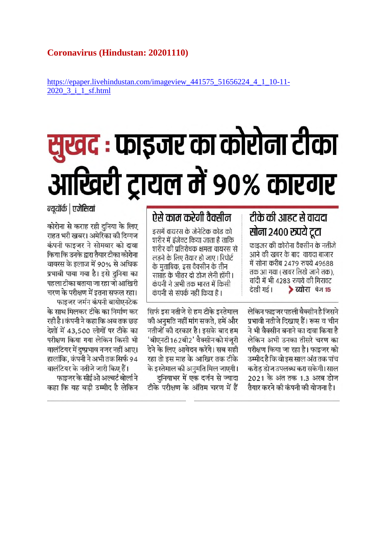#### **Coronavirus (Hindustan: 20201110)**

https://epaper.livehindustan.com/imageview\_441575\_51656224\_4\_1\_10-11- 2020\_3\_i\_1\_sf.html

# सुखद : फाइजर का कोरोना टीका<br>आखिरी ट्रायल में ९०% कारगर

| ऐसे काम करेगी वैक्सीन                                                                                                                                                                                                                                                                                                            | टीके की आहट से वायदा                                                                                                                                                                                                                                                                                                        |
|----------------------------------------------------------------------------------------------------------------------------------------------------------------------------------------------------------------------------------------------------------------------------------------------------------------------------------|-----------------------------------------------------------------------------------------------------------------------------------------------------------------------------------------------------------------------------------------------------------------------------------------------------------------------------|
| इसमें वायरस के जेनेटिक कोड को<br>शरीर में इंजेक्ट किया जाता है ताकि<br>शरीर की प्रतिरोधक क्षमता वायरस से<br>लडने के लिए तैयार हो जाए। रिपोर्ट<br>के मुताबिक, इस वैक्सीन के तीन<br>सप्ताह के भीतर दो डोज लेनी होंगी।<br>कंपनी ने अभी तक भारत में किसी<br>कंपनी से संपर्क नहीं किया है।                                            | सोना २४०० रुपये टूटा<br>फाइजर की कोरोना वैक्सीन के नतीजे<br>आने की खबर के बाद  वायदा बाजार<br>में सोना करीब 2479 रुपये 49688<br>तक आ गया (खबर लिखे जाने तक),<br>चांदी में भी 4283 रुपये की गिरावट<br>देखी गई। > ब्योरा पेज 15                                                                                               |
| सिर्फ इस नतीजे से हम टीके इस्तेमाल<br>की अनुमति नहीं मांग सकते, हमें और<br>नतीजों की दरकार है। इसके बाद हम<br>'बीएनटी 162बी2' वैक्सीन को मंजुरी<br>देने के लिए आवेदन करेंगे। सब सही<br>रहा तो इस माह के आखिर तक टीके<br>के इस्तेमाल की अनुमति मिल जाएगी।<br>दुनियाभर में एक दर्जन से ज्यादा<br>टीके परीक्षण के अंतिम चरण में हैं | लेकिन फाइजर पहली वैक्सीन है जिसने<br>प्रभावी नतीजे दिखाए हैं। रूस व चीन<br>ने भी वैक्सीन बनाने का दावा किया है<br>लेकिन अभी उनका तीसरे चरण का<br>परीक्षण किया जा रहा है। फाइजर को<br>उम्मीद है कि वो इस साल अंत तक पांच<br>करोड डोज उपलब्ध करा सकेगी। साल<br>2021 के अंत तक 1.3 अरब डोज<br>तैयार करने की कंपनी की योजना है। |

न्यूयॉर्क | एजेंसियां

कोरोना से कराह रही दनिया के लिए राहत भरी खबर। अमेरिका की दिग्गज कंपनी फाइजर ने सोमवार को दावा किया कि उनके द्वारा तैयार टीका कोरोना वायरस के इलाज में 90% से अधिक प्रभावी पाया गया है। इसे दुनिया का पहला टीका बताया जा रहा जो आखिरी चरण के परीक्षण में इतना सफल रहा। फाइजर जर्मन कंपनी बायोएनटेक के साथ मिलकर टीके का निर्माण कर रही है। कंपनी ने कहा कि अब तक छह देशों में 43.500 लोगों पर टीके का परीक्षण किया गया लेकिन किसी भी वालंटियर में दुष्प्रभाव नजर नहीं आए। हालांकि, कंपनी ने अभी तक सिर्फ 94 वालंटियर के नतीजे जारी किए हैं।

फाइजर के सीईओ अल्बर्ट बोर्ला ने कहा कि यह बड़ी उम्मीद है लेकिन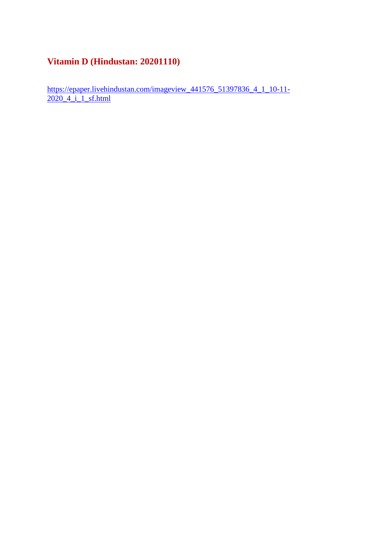#### **Vitamin D (Hindustan: 20201110)**

https://epaper.livehindustan.com/imageview\_441576\_51397836\_4\_1\_10-11-2020\_4\_i\_1\_sf.html